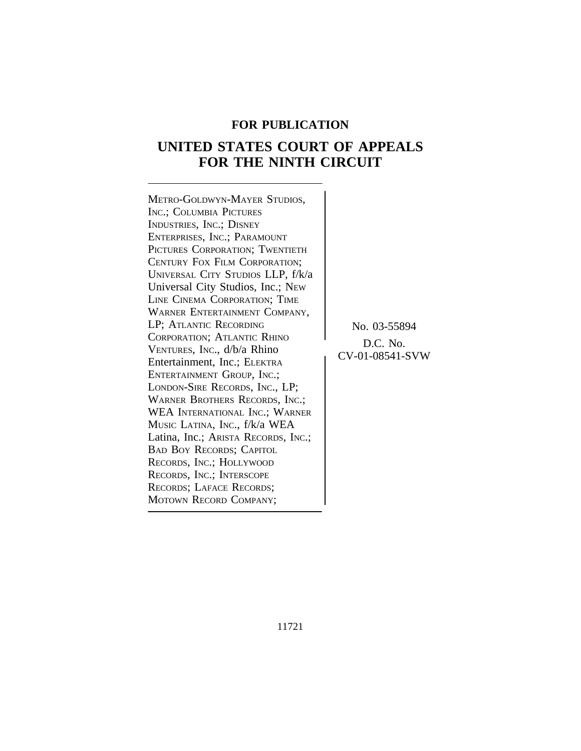# **FOR PUBLICATION**

# **UNITED STATES COURT OF APPEALS FOR THE NINTH CIRCUIT**

<sup>M</sup>ETRO-GOLDWYN-MAYER STUDIOS, INC.; COLUMBIA PICTURES INDUSTRIES, INC.; DISNEY ENTERPRISES, INC.; PARAMOUNT PICTURES CORPORATION; TWENTIETH CENTURY FOX FILM CORPORATION; UNIVERSAL CITY STUDIOS LLP, f/k/a Universal City Studios, Inc.; NEW LINE CINEMA CORPORATION; TIME WARNER ENTERTAINMENT COMPANY, LP; ATLANTIC RECORDING No. 03-55894<br>CORPORATION: ATLANTIC RHINO CORPORATION, ATLANTIC RHINO D.C. No.<br>
VENTURES, INC., d/b/a Rhino  $CV-01-08541-SVW$ ENTERTAINMENT GROUP, INC.; LONDON-SIRE RECORDS, INC., LP; WARNER BROTHERS RECORDS, INC.; WEA INTERNATIONAL INC.; WARNER MUSIC LATINA, INC., f/k/a WEA Latina, Inc.; ARISTA RECORDS, INC.; BAD BOY RECORDS; CAPITOL RECORDS, INC.; HOLLYWOOD RECORDS, INC.; INTERSCOPE RECORDS; LAFACE RECORDS; <sup>M</sup>OTOWN RECORD COMPANY;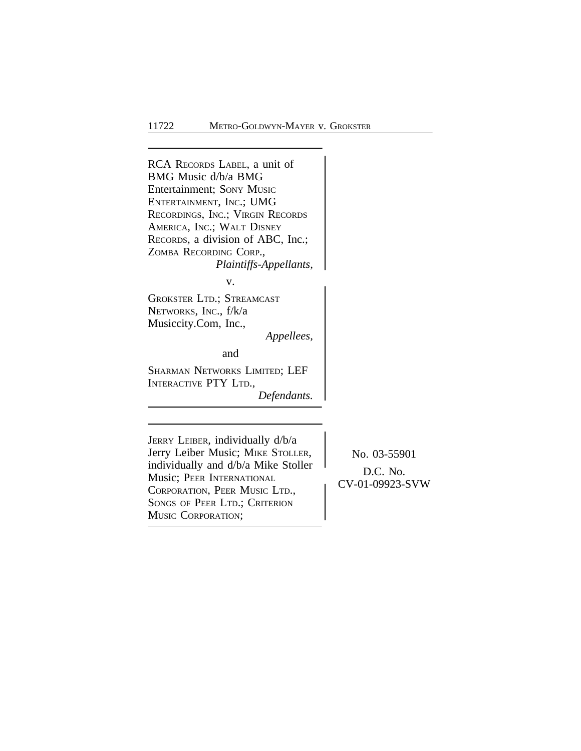RCA RECORDS LABEL, a unit of BMG Music d/b/a BMG Entertainment; SONY MUSIC ENTERTAINMENT, INC.; UMG RECORDINGS, INC.; VIRGIN RECORDS AMERICA, INC.; WALT DISNEY RECORDS, a division of ABC, Inc.; ZOMBA RECORDING CORP., *Plaintiffs-Appellants,*  $\mathbf{v}$ . GROKSTER LTD.; STREAMCAST NETWORKS, INC., f/k/a Musiccity.Com, Inc., *Appellees,* and SHARMAN NETWORKS LIMITED; LEF INTERACTIVE PTY LTD., *Defendants.* <sup>J</sup>ERRY LEIBER, individually d/b/a Jerry Leiber Music; MIKE STOLLER, No. 03-55901 individually and d/b/a Mike Stoller <br>
Music; PEER INTERNATIONAL 
CV-01-09923-SVW<br>
CORPORATION, PEER MUSIC LTD.,

SONGS OF PEER LTD.; CRITERION <sup>M</sup>USIC CORPORATION;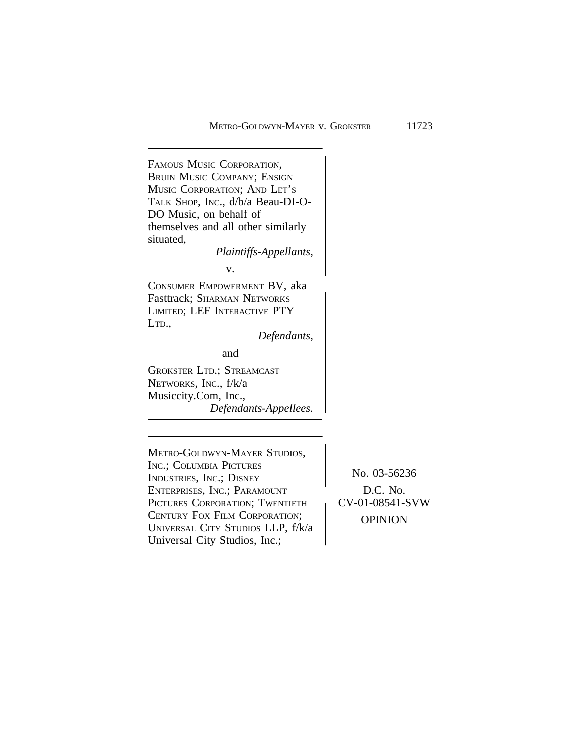<sup>F</sup>AMOUS MUSIC CORPORATION, BRUIN MUSIC COMPANY; ENSIGN MUSIC CORPORATION; AND LET'S TALK SHOP, INC., d/b/a Beau-DI-O-DO Music, on behalf of themselves and all other similarly situated, *Plaintiffs-Appellants,* v. <sup>C</sup>ONSUMER EMPOWERMENT BV, aka Fasttrack; SHARMAN NETWORKS LIMITED; LEF INTERACTIVE PTY LTD., *Defendants,* and GROKSTER LTD.; STREAMCAST NETWORKS, INC., f/k/a Musiccity.Com, Inc., *Defendants-Appellees.* <sup>M</sup>ETRO-GOLDWYN-MAYER STUDIOS, INC.; COLUMBIA PICTURES No. 03-56236<br>INDUSTRIES, INC.; DISNEY No. 03-56236 ENTERPRISES, INC.; PARAMOUNT <br>PICTURES CORPORATION; TWENTIETH CV-01-08541-SVW

UNIVERSAL CITY STUDIOS LLP, f/k/a

Universal City Studios, Inc.;

CENTURY FOX FILM CORPORATION; OPINION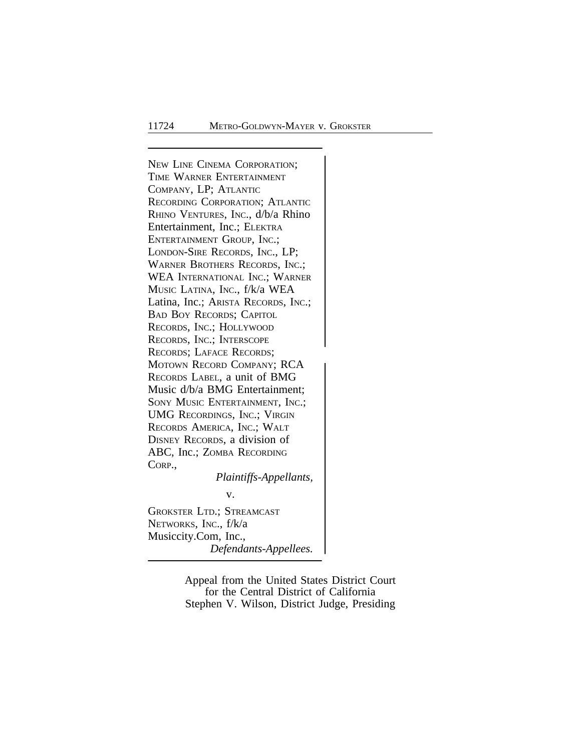<sup>N</sup>EW LINE CINEMA CORPORATION; TIME WARNER ENTERTAINMENT COMPANY, LP; ATLANTIC RECORDING CORPORATION; ATLANTIC RHINO VENTURES, INC., d/b/a Rhino Entertainment, Inc.; ELEKTRA ENTERTAINMENT GROUP, INC.; LONDON-SIRE RECORDS, INC., LP; WARNER BROTHERS RECORDS, INC.; WEA INTERNATIONAL INC.; WARNER MUSIC LATINA, INC., f/k/a WEA Latina, Inc.; ARISTA RECORDS, INC.; BAD BOY RECORDS; CAPITOL RECORDS, INC.; HOLLYWOOD RECORDS, INC.; INTERSCOPE RECORDS; LAFACE RECORDS;<br>MOTOWN RECORD COMPANY; RCA RECORDS LABEL, a unit of BMG Music d/b/a BMG Entertainment; SONY MUSIC ENTERTAINMENT, INC.; UMG RECORDINGS, INC.; VIRGIN RECORDS AMERICA, INC.; WALT DISNEY RECORDS, a division of ABC, Inc.; ZOMBA RECORDING CORP., *Plaintiffs-Appellants,* v. GROKSTER LTD.; STREAMCAST

NETWORKS, INC., f/k/a Musiccity.Com, Inc., *Defendants-Appellees.*

> Appeal from the United States District Court for the Central District of California Stephen V. Wilson, District Judge, Presiding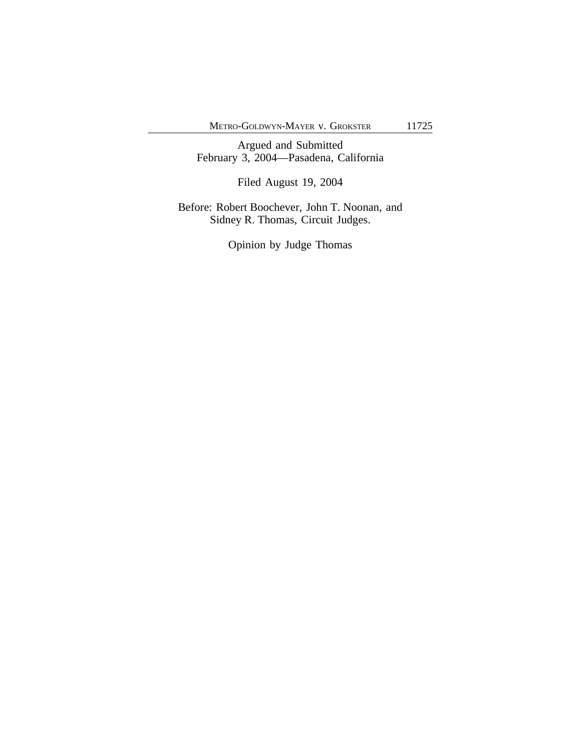Argued and Submitted February 3, 2004—Pasadena, California

Filed August 19, 2004

Before: Robert Boochever, John T. Noonan, and Sidney R. Thomas, Circuit Judges.

Opinion by Judge Thomas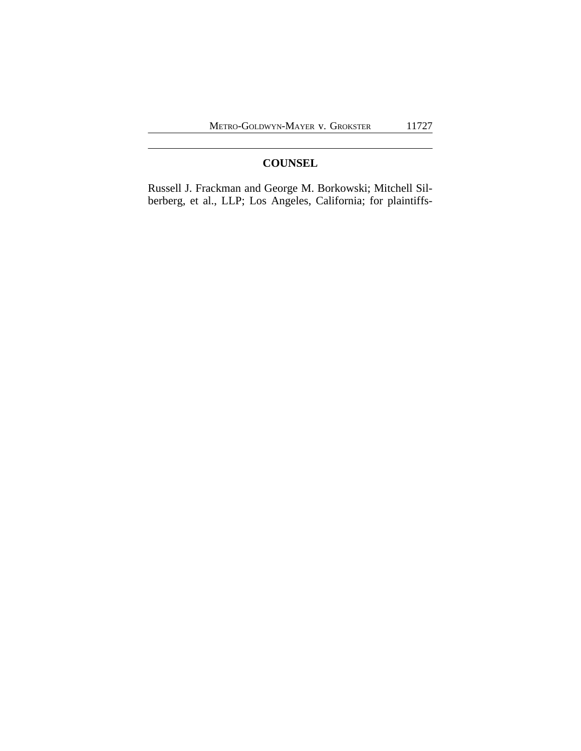# **COUNSEL**

Russell J. Frackman and George M. Borkowski; Mitchell Silberberg, et al., LLP; Los Angeles, California; for plaintiffs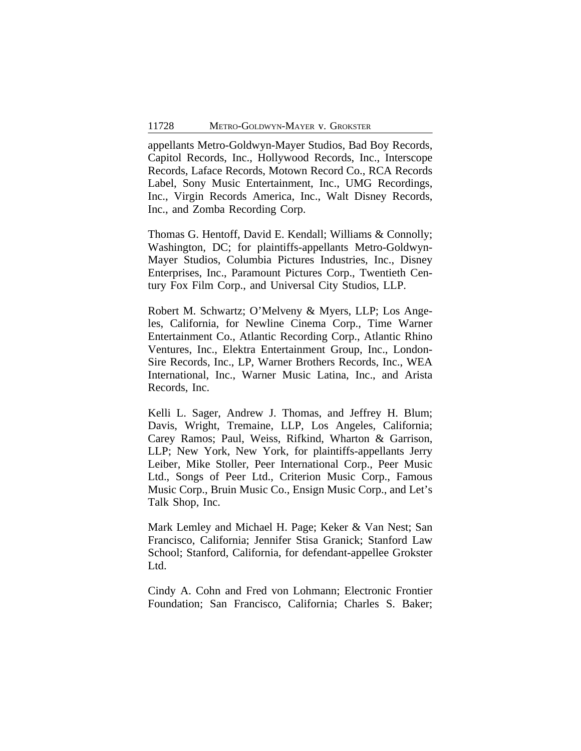appellants Metro-Goldwyn-Mayer Studios, Bad Boy Records, Capitol Records, Inc., Hollywood Records, Inc., Interscope Records, Laface Records, Motown Record Co., RCA Records Label, Sony Music Entertainment, Inc., UMG Recordings, Inc., Virgin Records America, Inc., Walt Disney Records, Inc., and Zomba Recording Corp.

Thomas G. Hentoff, David E. Kendall; Williams & Connolly; Washington, DC; for plaintiffs-appellants Metro-Goldwyn-Mayer Studios, Columbia Pictures Industries, Inc., Disney Enterprises, Inc., Paramount Pictures Corp., Twentieth Century Fox Film Corp., and Universal City Studios, LLP.

Robert M. Schwartz; O'Melveny & Myers, LLP; Los Angeles, California, for Newline Cinema Corp., Time Warner Entertainment Co., Atlantic Recording Corp., Atlantic Rhino Ventures, Inc., Elektra Entertainment Group, Inc., London-Sire Records, Inc., LP, Warner Brothers Records, Inc., WEA International, Inc., Warner Music Latina, Inc., and Arista Records, Inc.

Kelli L. Sager, Andrew J. Thomas, and Jeffrey H. Blum; Davis, Wright, Tremaine, LLP, Los Angeles, California; Carey Ramos; Paul, Weiss, Rifkind, Wharton & Garrison, LLP; New York, New York, for plaintiffs-appellants Jerry Leiber, Mike Stoller, Peer International Corp., Peer Music Ltd., Songs of Peer Ltd., Criterion Music Corp., Famous Music Corp., Bruin Music Co., Ensign Music Corp., and Let's Talk Shop, Inc.

Mark Lemley and Michael H. Page; Keker & Van Nest; San Francisco, California; Jennifer Stisa Granick; Stanford Law School; Stanford, California, for defendant-appellee Grokster Ltd.

Cindy A. Cohn and Fred von Lohmann; Electronic Frontier Foundation; San Francisco, California; Charles S. Baker;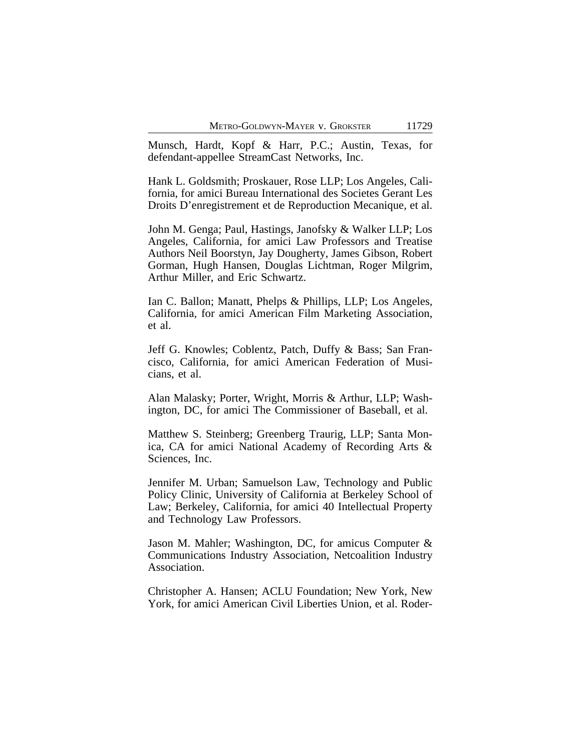Munsch, Hardt, Kopf & Harr, P.C.; Austin, Texas, for defendant-appellee StreamCast Networks, Inc.

Hank L. Goldsmith; Proskauer, Rose LLP; Los Angeles, California, for amici Bureau International des Societes Gerant Les Droits D'enregistrement et de Reproduction Mecanique, et al.

John M. Genga; Paul, Hastings, Janofsky & Walker LLP; Los Angeles, California, for amici Law Professors and Treatise Authors Neil Boorstyn, Jay Dougherty, James Gibson, Robert Gorman, Hugh Hansen, Douglas Lichtman, Roger Milgrim, Arthur Miller, and Eric Schwartz.

Ian C. Ballon; Manatt, Phelps & Phillips, LLP; Los Angeles, California, for amici American Film Marketing Association, et al.

Jeff G. Knowles; Coblentz, Patch, Duffy & Bass; San Francisco, California, for amici American Federation of Musicians, et al.

Alan Malasky; Porter, Wright, Morris & Arthur, LLP; Washington, DC, for amici The Commissioner of Baseball, et al.

Matthew S. Steinberg; Greenberg Traurig, LLP; Santa Monica, CA for amici National Academy of Recording Arts & Sciences, Inc.

Jennifer M. Urban; Samuelson Law, Technology and Public Policy Clinic, University of California at Berkeley School of Law; Berkeley, California, for amici 40 Intellectual Property and Technology Law Professors.

Jason M. Mahler; Washington, DC, for amicus Computer & Communications Industry Association, Netcoalition Industry Association.

Christopher A. Hansen; ACLU Foundation; New York, New York, for amici American Civil Liberties Union, et al. Roder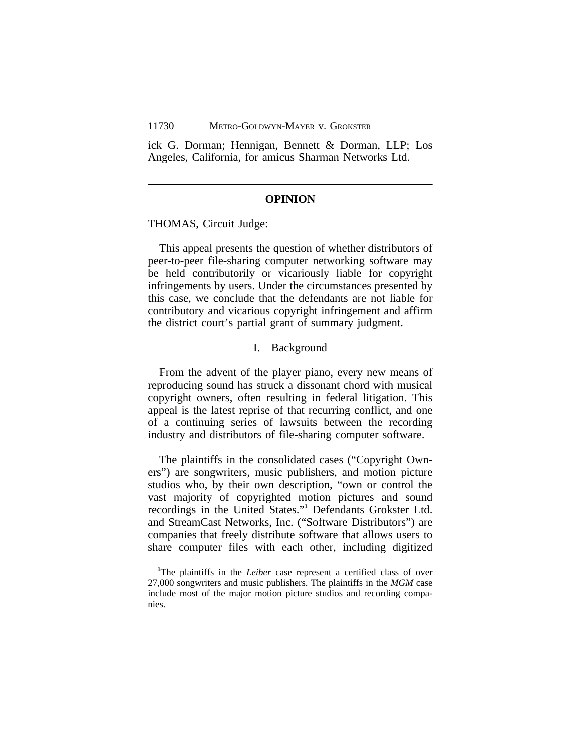ick G. Dorman; Hennigan, Bennett & Dorman, LLP; Los Angeles, California, for amicus Sharman Networks Ltd.

#### **OPINION**

#### THOMAS, Circuit Judge:

This appeal presents the question of whether distributors of peer-to-peer file-sharing computer networking software may be held contributorily or vicariously liable for copyright infringements by users. Under the circumstances presented by this case, we conclude that the defendants are not liable for contributory and vicarious copyright infringement and affirm the district court's partial grant of summary judgment.

#### I. Background

From the advent of the player piano, every new means of reproducing sound has struck a dissonant chord with musical copyright owners, often resulting in federal litigation. This appeal is the latest reprise of that recurring conflict, and one of a continuing series of lawsuits between the recording industry and distributors of file-sharing computer software.

The plaintiffs in the consolidated cases ("Copyright Owners") are songwriters, music publishers, and motion picture studios who, by their own description, "own or control the vast majority of copyrighted motion pictures and sound recordings in the United States." **1** Defendants Grokster Ltd. and StreamCast Networks, Inc. ("Software Distributors") are companies that freely distribute software that allows users to share computer files with each other, including digitized

**<sup>1</sup>**The plaintiffs in the *Leiber* case represent a certified class of over 27,000 songwriters and music publishers. The plaintiffs in the *MGM* case include most of the major motion picture studios and recording companies.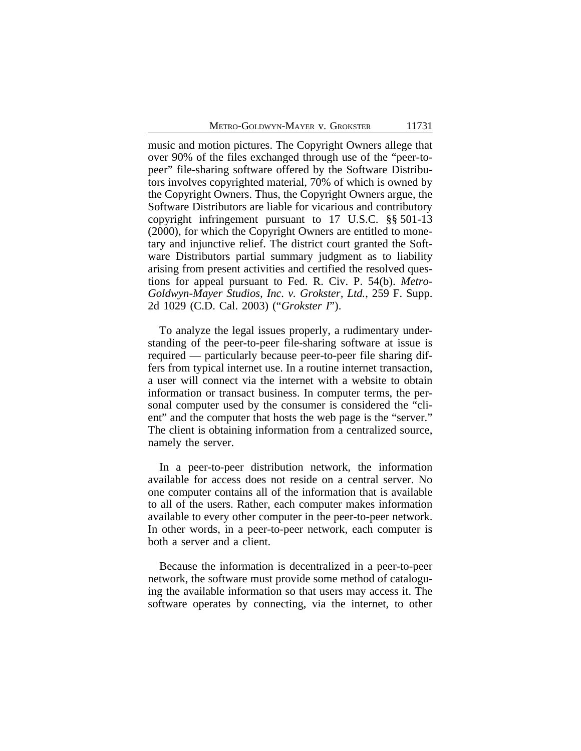music and motion pictures. The Copyright Owners allege that over 90% of the files exchanged through use of the "peer-topeer" file-sharing software offered by the Software Distributors involves copyrighted material, 70% of which is owned by the Copyright Owners. Thus, the Copyright Owners argue, the Software Distributors are liable for vicarious and contributory copyright infringement pursuant to 17 U.S.C. §§ 501-13 (2000), for which the Copyright Owners are entitled to monetary and injunctive relief. The district court granted the Software Distributors partial summary judgment as to liability arising from present activities and certified the resolved questions for appeal pursuant to Fed. R. Civ. P. 54(b). *Metro-Goldwyn-Mayer Studios, Inc. v. Grokster, Ltd.*, 259 F. Supp. 2d 1029 (C.D. Cal. 2003) ("*Grokster I*").

To analyze the legal issues properly, a rudimentary understanding of the peer-to-peer file-sharing software at issue is required — particularly because peer-to-peer file sharing differs from typical internet use. In a routine internet transaction, a user will connect via the internet with a website to obtain information or transact business. In computer terms, the personal computer used by the consumer is considered the "client" and the computer that hosts the web page is the "server." The client is obtaining information from a centralized source, namely the server.

In a peer-to-peer distribution network, the information available for access does not reside on a central server. No one computer contains all of the information that is available to all of the users. Rather, each computer makes information available to every other computer in the peer-to-peer network. In other words, in a peer-to-peer network, each computer is both a server and a client.

Because the information is decentralized in a peer-to-peer network, the software must provide some method of cataloguing the available information so that users may access it. The software operates by connecting, via the internet, to other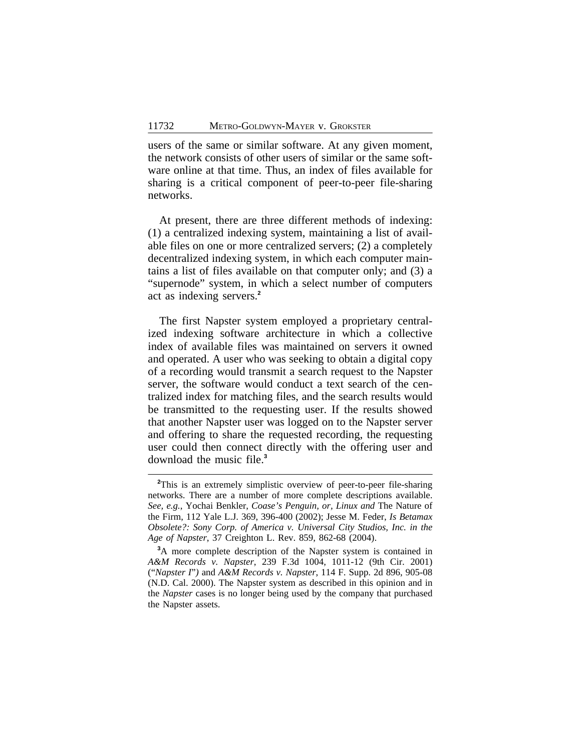users of the same or similar software. At any given moment, the network consists of other users of similar or the same software online at that time. Thus, an index of files available for sharing is a critical component of peer-to-peer file-sharing networks.

At present, there are three different methods of indexing: (1) a centralized indexing system, maintaining a list of available files on one or more centralized servers; (2) a completely decentralized indexing system, in which each computer maintains a list of files available on that computer only; and (3) a "supernode" system, in which a select number of computers act as indexing servers.**<sup>2</sup>**

The first Napster system employed a proprietary centralized indexing software architecture in which a collective index of available files was maintained on servers it owned and operated. A user who was seeking to obtain a digital copy of a recording would transmit a search request to the Napster server, the software would conduct a text search of the centralized index for matching files, and the search results would be transmitted to the requesting user. If the results showed that another Napster user was logged on to the Napster server and offering to share the requested recording, the requesting user could then connect directly with the offering user and download the music file.**<sup>3</sup>**

<sup>&</sup>lt;sup>2</sup>This is an extremely simplistic overview of peer-to-peer file-sharing networks. There are a number of more complete descriptions available. *See, e.g.*, Yochai Benkler, *Coase's Penguin, or, Linux and* The Nature of the Firm, 112 Yale L.J. 369, 396-400 (2002); Jesse M. Feder, *Is Betamax Obsolete?: Sony Corp. of America v. Universal City Studios, Inc. in the Age of Napster*, 37 Creighton L. Rev. 859, 862-68 (2004).

**<sup>3</sup>**A more complete description of the Napster system is contained in *A&M Records v. Napster*, 239 F.3d 1004, 1011-12 (9th Cir. 2001) ("*Napster I*"*)* and *A&M Records v. Napster*, 114 F. Supp. 2d 896, 905-08 (N.D. Cal. 2000). The Napster system as described in this opinion and in the *Napster* cases is no longer being used by the company that purchased the Napster assets.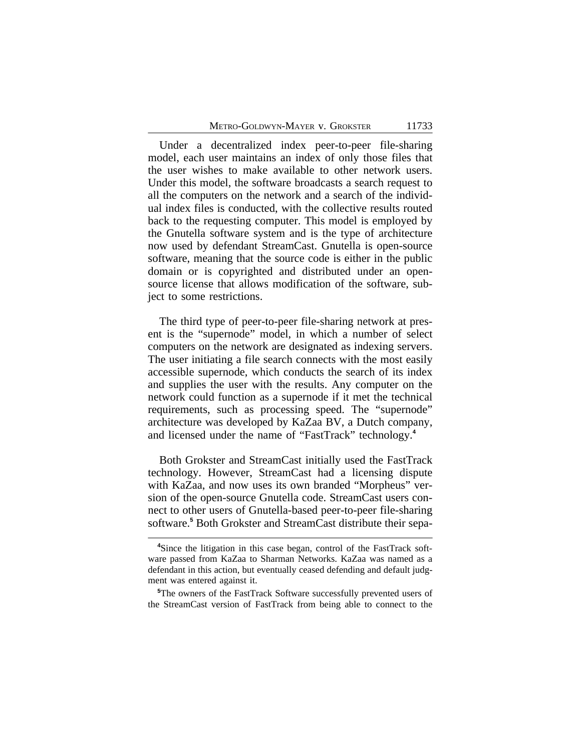Under a decentralized index peer-to-peer file-sharing model, each user maintains an index of only those files that the user wishes to make available to other network users. Under this model, the software broadcasts a search request to all the computers on the network and a search of the individual index files is conducted, with the collective results routed back to the requesting computer. This model is employed by the Gnutella software system and is the type of architecture now used by defendant StreamCast. Gnutella is open-source software, meaning that the source code is either in the public domain or is copyrighted and distributed under an opensource license that allows modification of the software, subject to some restrictions.

The third type of peer-to-peer file-sharing network at present is the "supernode" model, in which a number of select computers on the network are designated as indexing servers. The user initiating a file search connects with the most easily accessible supernode, which conducts the search of its index and supplies the user with the results. Any computer on the network could function as a supernode if it met the technical requirements, such as processing speed. The "supernode" architecture was developed by KaZaa BV, a Dutch company, and licensed under the name of "FastTrack" technology.**<sup>4</sup>**

Both Grokster and StreamCast initially used the FastTrack technology. However, StreamCast had a licensing dispute with KaZaa, and now uses its own branded "Morpheus" version of the open-source Gnutella code. StreamCast users connect to other users of Gnutella-based peer-to-peer file-sharing software.**<sup>5</sup>** Both Grokster and StreamCast distribute their sepa-

<sup>&</sup>lt;sup>4</sup>Since the litigation in this case began, control of the FastTrack software passed from KaZaa to Sharman Networks. KaZaa was named as a defendant in this action, but eventually ceased defending and default judgment was entered against it.

**<sup>5</sup>**The owners of the FastTrack Software successfully prevented users of the StreamCast version of FastTrack from being able to connect to the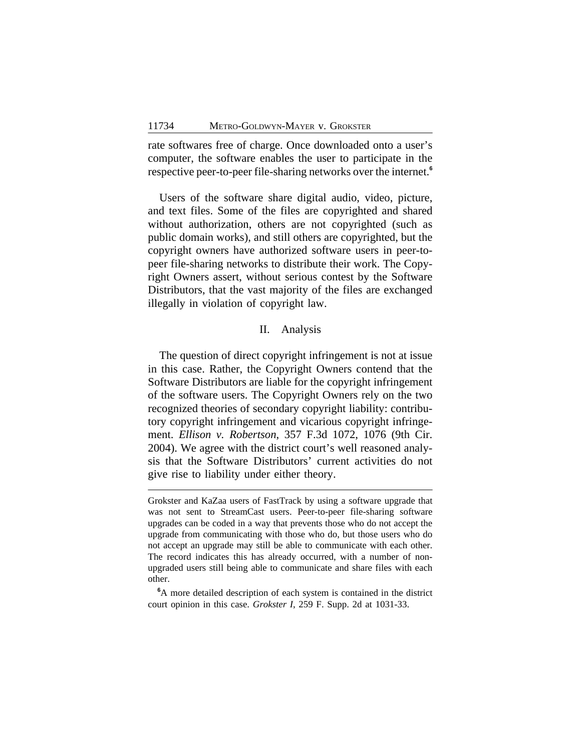rate softwares free of charge. Once downloaded onto a user's computer, the software enables the user to participate in the respective peer-to-peer file-sharing networks over the internet.**<sup>6</sup>**

Users of the software share digital audio, video, picture, and text files. Some of the files are copyrighted and shared without authorization, others are not copyrighted (such as public domain works), and still others are copyrighted, but the copyright owners have authorized software users in peer-topeer file-sharing networks to distribute their work. The Copyright Owners assert, without serious contest by the Software Distributors, that the vast majority of the files are exchanged illegally in violation of copyright law.

#### II. Analysis

The question of direct copyright infringement is not at issue in this case. Rather, the Copyright Owners contend that the Software Distributors are liable for the copyright infringement of the software users. The Copyright Owners rely on the two recognized theories of secondary copyright liability: contributory copyright infringement and vicarious copyright infringement. *Ellison v. Robertson*, 357 F.3d 1072, 1076 (9th Cir. 2004). We agree with the district court's well reasoned analysis that the Software Distributors' current activities do not give rise to liability under either theory.

Grokster and KaZaa users of FastTrack by using a software upgrade that was not sent to StreamCast users. Peer-to-peer file-sharing software upgrades can be coded in a way that prevents those who do not accept the upgrade from communicating with those who do, but those users who do not accept an upgrade may still be able to communicate with each other. The record indicates this has already occurred, with a number of nonupgraded users still being able to communicate and share files with each other.

**<sup>6</sup>**A more detailed description of each system is contained in the district court opinion in this case. *Grokster I*, 259 F. Supp. 2d at 1031-33.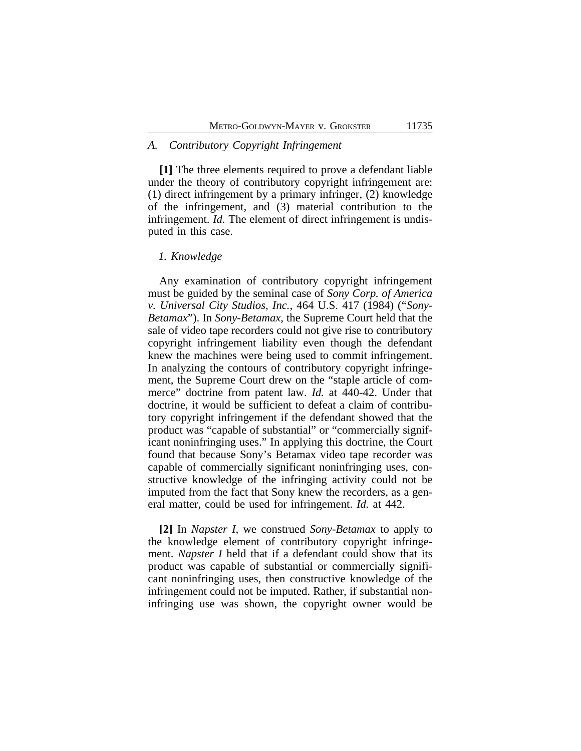#### *A. Contributory Copyright Infringement*

**[1]** The three elements required to prove a defendant liable under the theory of contributory copyright infringement are: (1) direct infringement by a primary infringer, (2) knowledge of the infringement, and (3) material contribution to the infringement. *Id.* The element of direct infringement is undisputed in this case.

#### *1. Knowledge*

Any examination of contributory copyright infringement must be guided by the seminal case of *Sony Corp. of America v. Universal City Studios, Inc.*, 464 U.S. 417 (1984) ("*Sony-Betamax*"). In *Sony-Betamax*, the Supreme Court held that the sale of video tape recorders could not give rise to contributory copyright infringement liability even though the defendant knew the machines were being used to commit infringement. In analyzing the contours of contributory copyright infringement, the Supreme Court drew on the "staple article of commerce" doctrine from patent law. *Id.* at 440-42. Under that doctrine, it would be sufficient to defeat a claim of contributory copyright infringement if the defendant showed that the product was "capable of substantial" or "commercially significant noninfringing uses." In applying this doctrine, the Court found that because Sony's Betamax video tape recorder was capable of commercially significant noninfringing uses, constructive knowledge of the infringing activity could not be imputed from the fact that Sony knew the recorders, as a general matter, could be used for infringement. *Id.* at 442.

**[2]** In *Napster I*, we construed *Sony-Betamax* to apply to the knowledge element of contributory copyright infringement. *Napster I* held that if a defendant could show that its product was capable of substantial or commercially significant noninfringing uses, then constructive knowledge of the infringement could not be imputed. Rather, if substantial noninfringing use was shown, the copyright owner would be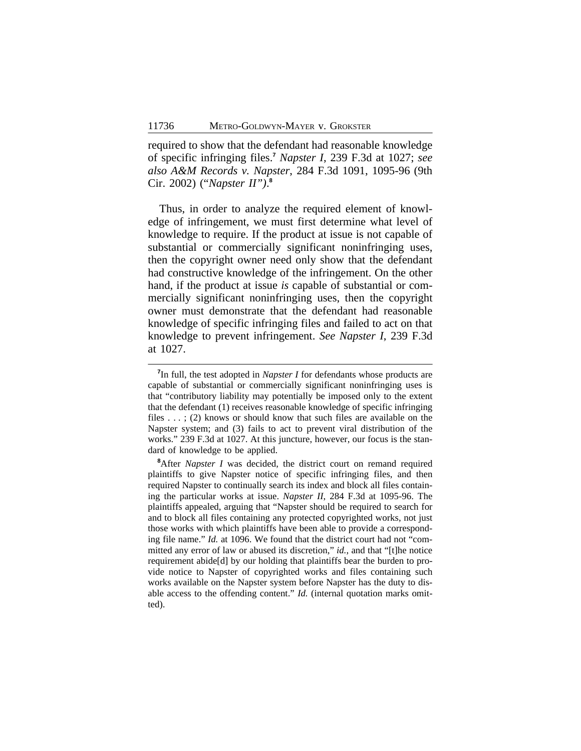required to show that the defendant had reasonable knowledge of specific infringing files.**<sup>7</sup>** *Napster I*, 239 F.3d at 1027; *see also A&M Records v. Napster*, 284 F.3d 1091, 1095-96 (9th Cir. 2002) ("*Napster II")*. **8**

Thus, in order to analyze the required element of knowledge of infringement, we must first determine what level of knowledge to require. If the product at issue is not capable of substantial or commercially significant noninfringing uses, then the copyright owner need only show that the defendant had constructive knowledge of the infringement. On the other hand, if the product at issue *is* capable of substantial or commercially significant noninfringing uses, then the copyright owner must demonstrate that the defendant had reasonable knowledge of specific infringing files and failed to act on that knowledge to prevent infringement. *See Napster I*, 239 F.3d at 1027.

**<sup>7</sup>** In full, the test adopted in *Napster I* for defendants whose products are capable of substantial or commercially significant noninfringing uses is that "contributory liability may potentially be imposed only to the extent that the defendant (1) receives reasonable knowledge of specific infringing files  $\dots$ ; (2) knows or should know that such files are available on the Napster system; and (3) fails to act to prevent viral distribution of the works." 239 F.3d at 1027. At this juncture, however, our focus is the standard of knowledge to be applied.

**<sup>8</sup>**After *Napster I* was decided, the district court on remand required plaintiffs to give Napster notice of specific infringing files, and then required Napster to continually search its index and block all files containing the particular works at issue. *Napster II*, 284 F.3d at 1095-96. The plaintiffs appealed, arguing that "Napster should be required to search for and to block all files containing any protected copyrighted works, not just those works with which plaintiffs have been able to provide a corresponding file name." *Id.* at 1096. We found that the district court had not "committed any error of law or abused its discretion," *id.*, and that "[t]he notice requirement abide[d] by our holding that plaintiffs bear the burden to provide notice to Napster of copyrighted works and files containing such works available on the Napster system before Napster has the duty to disable access to the offending content." *Id.* (internal quotation marks omitted).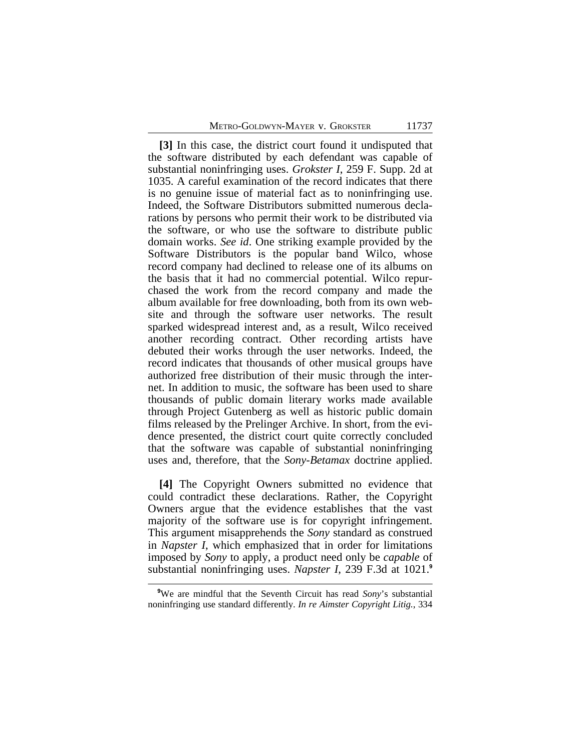**[3]** In this case, the district court found it undisputed that the software distributed by each defendant was capable of substantial noninfringing uses. *Grokster I*, 259 F. Supp. 2d at 1035. A careful examination of the record indicates that there is no genuine issue of material fact as to noninfringing use. Indeed, the Software Distributors submitted numerous declarations by persons who permit their work to be distributed via the software, or who use the software to distribute public domain works. *See id*. One striking example provided by the Software Distributors is the popular band Wilco, whose record company had declined to release one of its albums on the basis that it had no commercial potential. Wilco repurchased the work from the record company and made the album available for free downloading, both from its own website and through the software user networks. The result sparked widespread interest and, as a result, Wilco received another recording contract. Other recording artists have debuted their works through the user networks. Indeed, the record indicates that thousands of other musical groups have authorized free distribution of their music through the internet. In addition to music, the software has been used to share thousands of public domain literary works made available through Project Gutenberg as well as historic public domain films released by the Prelinger Archive. In short, from the evidence presented, the district court quite correctly concluded that the software was capable of substantial noninfringing uses and, therefore, that the *Sony-Betamax* doctrine applied.

**[4]** The Copyright Owners submitted no evidence that could contradict these declarations. Rather, the Copyright Owners argue that the evidence establishes that the vast majority of the software use is for copyright infringement. This argument misapprehends the *Sony* standard as construed in *Napster I*, which emphasized that in order for limitations imposed by *Sony* to apply, a product need only be *capable* of substantial noninfringing uses. *Napster I*, 239 F.3d at 1021.**<sup>9</sup>**

**<sup>9</sup>**We are mindful that the Seventh Circuit has read *Sony*'s substantial noninfringing use standard differently. *In re Aimster Copyright Litig.*, 334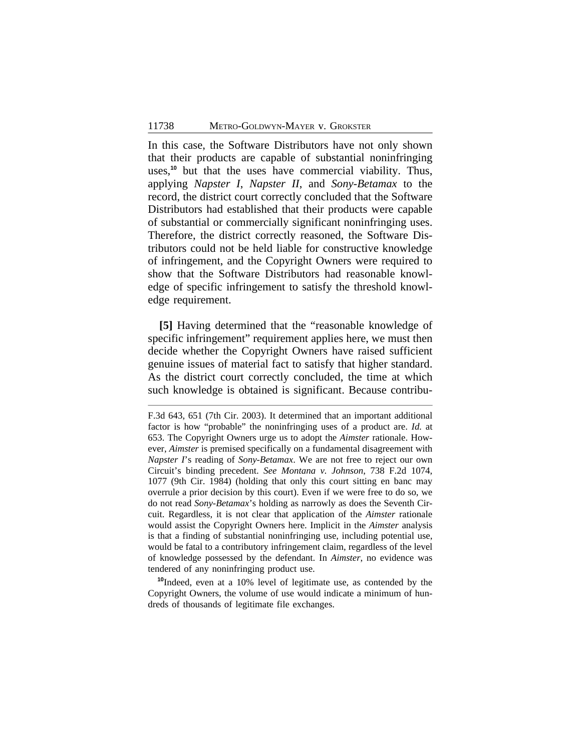In this case, the Software Distributors have not only shown that their products are capable of substantial noninfringing uses,<sup>10</sup> but that the uses have commercial viability. Thus, applying *Napster I*, *Napster II*, and *Sony-Betamax* to the record, the district court correctly concluded that the Software Distributors had established that their products were capable of substantial or commercially significant noninfringing uses. Therefore, the district correctly reasoned, the Software Distributors could not be held liable for constructive knowledge of infringement, and the Copyright Owners were required to show that the Software Distributors had reasonable knowledge of specific infringement to satisfy the threshold knowledge requirement.

**[5]** Having determined that the "reasonable knowledge of specific infringement" requirement applies here, we must then decide whether the Copyright Owners have raised sufficient genuine issues of material fact to satisfy that higher standard. As the district court correctly concluded, the time at which such knowledge is obtained is significant. Because contribu-

**<sup>10</sup>**Indeed, even at a 10% level of legitimate use, as contended by the Copyright Owners, the volume of use would indicate a minimum of hundreds of thousands of legitimate file exchanges.

F.3d 643, 651 (7th Cir. 2003). It determined that an important additional factor is how "probable" the noninfringing uses of a product are. *Id.* at 653. The Copyright Owners urge us to adopt the *Aimster* rationale. However, *Aimster* is premised specifically on a fundamental disagreement with *Napster I*'s reading of *Sony-Betamax*. We are not free to reject our own Circuit's binding precedent. *See Montana v. Johnson*, 738 F.2d 1074, 1077 (9th Cir. 1984) (holding that only this court sitting en banc may overrule a prior decision by this court). Even if we were free to do so, we do not read *Sony-Betamax*'s holding as narrowly as does the Seventh Circuit. Regardless, it is not clear that application of the *Aimster* rationale would assist the Copyright Owners here. Implicit in the *Aimster* analysis is that a finding of substantial noninfringing use, including potential use, would be fatal to a contributory infringement claim, regardless of the level of knowledge possessed by the defendant. In *Aimster*, no evidence was tendered of any noninfringing product use.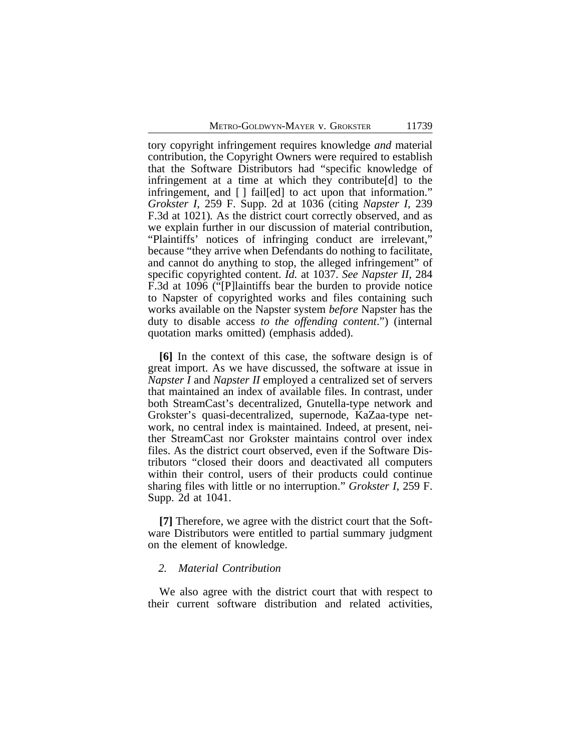tory copyright infringement requires knowledge *and* material contribution, the Copyright Owners were required to establish that the Software Distributors had "specific knowledge of infringement at a time at which they contribute[d] to the infringement, and [ ] fail[ed] to act upon that information." *Grokster I*, 259 F. Supp. 2d at 1036 (citing *Napster I*, 239 F.3d at 1021)*.* As the district court correctly observed, and as we explain further in our discussion of material contribution, "Plaintiffs' notices of infringing conduct are irrelevant," because "they arrive when Defendants do nothing to facilitate, and cannot do anything to stop, the alleged infringement" of specific copyrighted content. *Id.* at 1037. *See Napster II*, 284 F.3d at 1096 ("[P]laintiffs bear the burden to provide notice to Napster of copyrighted works and files containing such works available on the Napster system *before* Napster has the duty to disable access *to the offending content*.") (internal quotation marks omitted) (emphasis added).

**[6]** In the context of this case, the software design is of great import. As we have discussed, the software at issue in *Napster I* and *Napster II* employed a centralized set of servers that maintained an index of available files. In contrast, under both StreamCast's decentralized, Gnutella-type network and Grokster's quasi-decentralized, supernode, KaZaa-type network, no central index is maintained. Indeed, at present, neither StreamCast nor Grokster maintains control over index files. As the district court observed, even if the Software Distributors "closed their doors and deactivated all computers within their control, users of their products could continue sharing files with little or no interruption." *Grokster I*, 259 F. Supp. 2d at 1041.

**[7]** Therefore, we agree with the district court that the Software Distributors were entitled to partial summary judgment on the element of knowledge.

#### *2. Material Contribution*

We also agree with the district court that with respect to their current software distribution and related activities,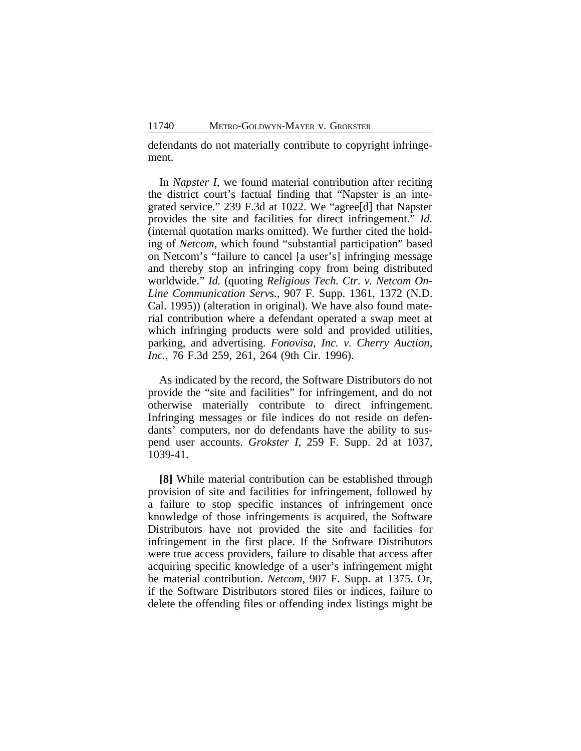defendants do not materially contribute to copyright infringement.

In *Napster I*, we found material contribution after reciting the district court's factual finding that "Napster is an integrated service." 239 F.3d at 1022. We "agree[d] that Napster provides the site and facilities for direct infringement." *Id.* (internal quotation marks omitted). We further cited the holding of *Netcom*, which found "substantial participation" based on Netcom's "failure to cancel [a user's] infringing message and thereby stop an infringing copy from being distributed worldwide." *Id.* (quoting *Religious Tech. Ctr. v. Netcom On-Line Communication Servs.*, 907 F. Supp. 1361, 1372 (N.D. Cal. 1995)) (alteration in original). We have also found material contribution where a defendant operated a swap meet at which infringing products were sold and provided utilities, parking, and advertising. *Fonovisa, Inc. v. Cherry Auction, Inc.*, 76 F.3d 259, 261, 264 (9th Cir. 1996).

As indicated by the record, the Software Distributors do not provide the "site and facilities" for infringement, and do not otherwise materially contribute to direct infringement. Infringing messages or file indices do not reside on defendants' computers, nor do defendants have the ability to suspend user accounts. *Grokster I*, 259 F. Supp. 2d at 1037, 1039-41.

**[8]** While material contribution can be established through provision of site and facilities for infringement, followed by a failure to stop specific instances of infringement once knowledge of those infringements is acquired, the Software Distributors have not provided the site and facilities for infringement in the first place. If the Software Distributors were true access providers, failure to disable that access after acquiring specific knowledge of a user's infringement might be material contribution. *Netcom*, 907 F. Supp. at 1375. Or, if the Software Distributors stored files or indices, failure to delete the offending files or offending index listings might be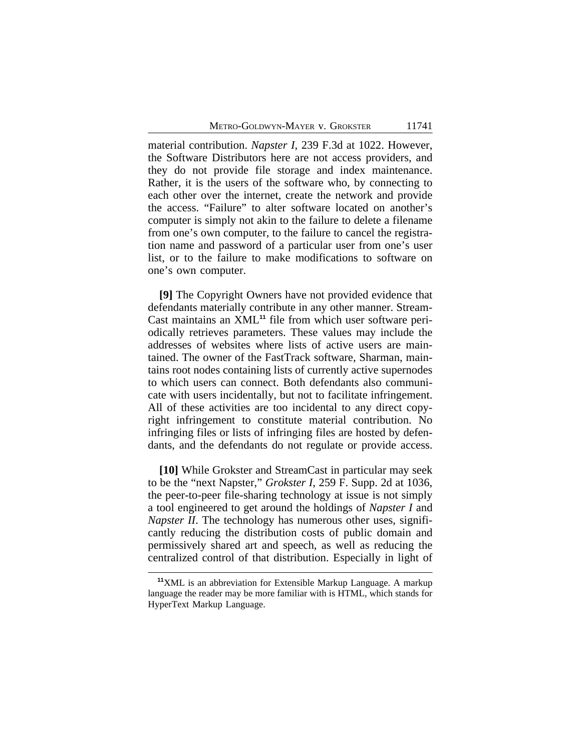material contribution. *Napster I*, 239 F.3d at 1022. However, the Software Distributors here are not access providers, and they do not provide file storage and index maintenance. Rather, it is the users of the software who, by connecting to each other over the internet, create the network and provide the access. "Failure" to alter software located on another's computer is simply not akin to the failure to delete a filename from one's own computer, to the failure to cancel the registration name and password of a particular user from one's user list, or to the failure to make modifications to software on one's own computer.

**[9]** The Copyright Owners have not provided evidence that defendants materially contribute in any other manner. Stream-Cast maintains an XML**11** file from which user software periodically retrieves parameters. These values may include the addresses of websites where lists of active users are maintained. The owner of the FastTrack software, Sharman, maintains root nodes containing lists of currently active supernodes to which users can connect. Both defendants also communicate with users incidentally, but not to facilitate infringement. All of these activities are too incidental to any direct copyright infringement to constitute material contribution. No infringing files or lists of infringing files are hosted by defendants, and the defendants do not regulate or provide access.

**[10]** While Grokster and StreamCast in particular may seek to be the "next Napster," *Grokster I*, 259 F. Supp. 2d at 1036, the peer-to-peer file-sharing technology at issue is not simply a tool engineered to get around the holdings of *Napster I* and *Napster II.* The technology has numerous other uses, significantly reducing the distribution costs of public domain and permissively shared art and speech, as well as reducing the centralized control of that distribution. Especially in light of

**<sup>11</sup>**XML is an abbreviation for Extensible Markup Language. A markup language the reader may be more familiar with is HTML, which stands for HyperText Markup Language.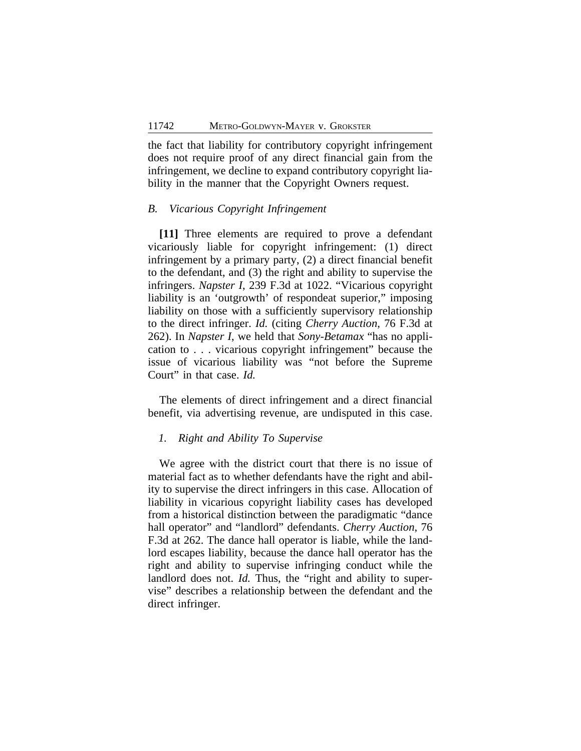the fact that liability for contributory copyright infringement does not require proof of any direct financial gain from the infringement, we decline to expand contributory copyright liability in the manner that the Copyright Owners request.

## *B. Vicarious Copyright Infringement*

**[11]** Three elements are required to prove a defendant vicariously liable for copyright infringement: (1) direct infringement by a primary party, (2) a direct financial benefit to the defendant, and (3) the right and ability to supervise the infringers. *Napster I*, 239 F.3d at 1022. "Vicarious copyright liability is an 'outgrowth' of respondeat superior," imposing liability on those with a sufficiently supervisory relationship to the direct infringer. *Id.* (citing *Cherry Auction*, 76 F.3d at 262). In *Napster I*, we held that *Sony-Betamax* "has no application to . . . vicarious copyright infringement" because the issue of vicarious liability was "not before the Supreme Court" in that case. *Id.* 

The elements of direct infringement and a direct financial benefit, via advertising revenue, are undisputed in this case.

#### *1. Right and Ability To Supervise*

We agree with the district court that there is no issue of material fact as to whether defendants have the right and ability to supervise the direct infringers in this case. Allocation of liability in vicarious copyright liability cases has developed from a historical distinction between the paradigmatic "dance hall operator" and "landlord" defendants. *Cherry Auction*, 76 F.3d at 262. The dance hall operator is liable, while the landlord escapes liability, because the dance hall operator has the right and ability to supervise infringing conduct while the landlord does not. *Id.* Thus, the "right and ability to supervise" describes a relationship between the defendant and the direct infringer.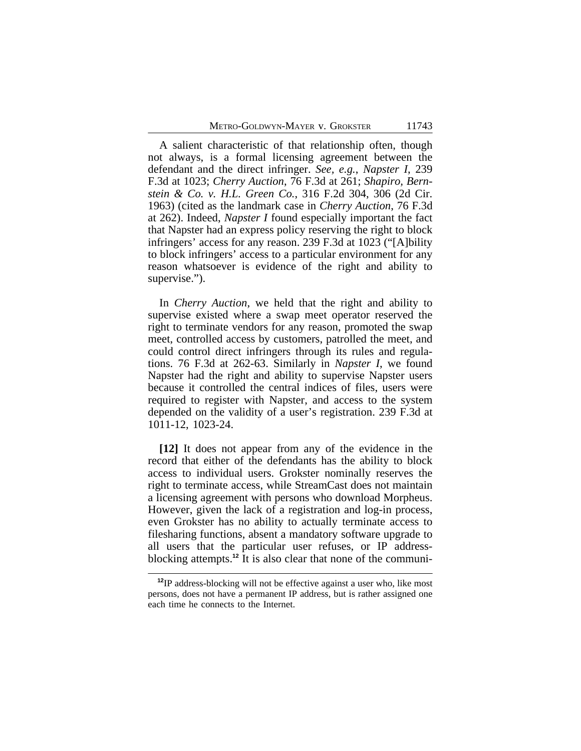A salient characteristic of that relationship often, though not always, is a formal licensing agreement between the defendant and the direct infringer. *See, e.g.*, *Napster I*, 239 F.3d at 1023; *Cherry Auction*, 76 F.3d at 261; *Shapiro, Bernstein & Co. v. H.L. Green Co.*, 316 F.2d 304, 306 (2d Cir. 1963) (cited as the landmark case in *Cherry Auction*, 76 F.3d at 262). Indeed, *Napster I* found especially important the fact that Napster had an express policy reserving the right to block infringers' access for any reason. 239 F.3d at 1023 ("[A]bility to block infringers' access to a particular environment for any reason whatsoever is evidence of the right and ability to supervise.").

In *Cherry Auction*, we held that the right and ability to supervise existed where a swap meet operator reserved the right to terminate vendors for any reason, promoted the swap meet, controlled access by customers, patrolled the meet, and could control direct infringers through its rules and regulations. 76 F.3d at 262-63. Similarly in *Napster I*, we found Napster had the right and ability to supervise Napster users because it controlled the central indices of files, users were required to register with Napster, and access to the system depended on the validity of a user's registration. 239 F.3d at 1011-12, 1023-24.

**[12]** It does not appear from any of the evidence in the record that either of the defendants has the ability to block access to individual users. Grokster nominally reserves the right to terminate access, while StreamCast does not maintain a licensing agreement with persons who download Morpheus. However, given the lack of a registration and log-in process, even Grokster has no ability to actually terminate access to filesharing functions, absent a mandatory software upgrade to all users that the particular user refuses, or IP addressblocking attempts.**12** It is also clear that none of the communi-

**<sup>12</sup>**IP address-blocking will not be effective against a user who, like most persons, does not have a permanent IP address, but is rather assigned one each time he connects to the Internet.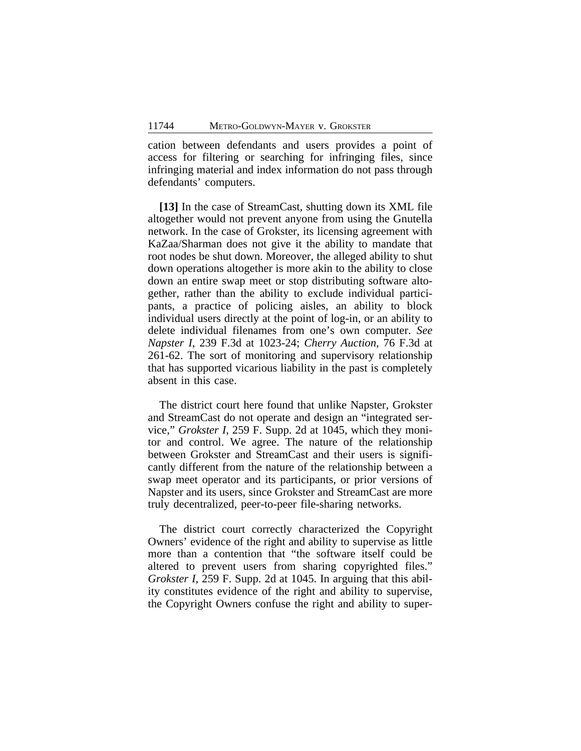cation between defendants and users provides a point of access for filtering or searching for infringing files, since infringing material and index information do not pass through defendants' computers.

**[13]** In the case of StreamCast, shutting down its XML file altogether would not prevent anyone from using the Gnutella network. In the case of Grokster, its licensing agreement with KaZaa/Sharman does not give it the ability to mandate that root nodes be shut down. Moreover, the alleged ability to shut down operations altogether is more akin to the ability to close down an entire swap meet or stop distributing software altogether, rather than the ability to exclude individual participants, a practice of policing aisles, an ability to block individual users directly at the point of log-in, or an ability to delete individual filenames from one's own computer. *See Napster I*, 239 F.3d at 1023-24; *Cherry Auction*, 76 F.3d at 261-62. The sort of monitoring and supervisory relationship that has supported vicarious liability in the past is completely absent in this case.

The district court here found that unlike Napster, Grokster and StreamCast do not operate and design an "integrated service," *Grokster I*, 259 F. Supp. 2d at 1045, which they monitor and control. We agree. The nature of the relationship between Grokster and StreamCast and their users is significantly different from the nature of the relationship between a swap meet operator and its participants, or prior versions of Napster and its users, since Grokster and StreamCast are more truly decentralized, peer-to-peer file-sharing networks.

The district court correctly characterized the Copyright Owners' evidence of the right and ability to supervise as little more than a contention that "the software itself could be altered to prevent users from sharing copyrighted files." *Grokster I*, 259 F. Supp. 2d at 1045. In arguing that this ability constitutes evidence of the right and ability to supervise, the Copyright Owners confuse the right and ability to super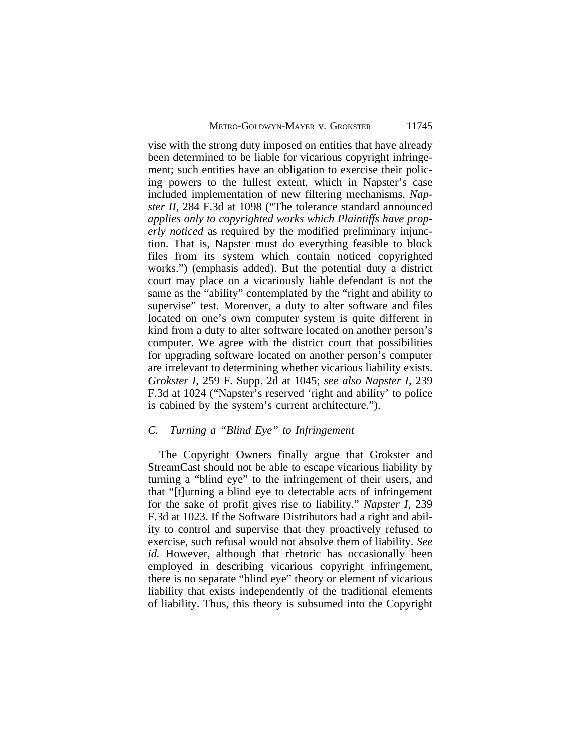vise with the strong duty imposed on entities that have already been determined to be liable for vicarious copyright infringement; such entities have an obligation to exercise their policing powers to the fullest extent, which in Napster's case included implementation of new filtering mechanisms. *Napster II*, 284 F.3d at 1098 ("The tolerance standard announced *applies only to copyrighted works which Plaintiffs have properly noticed* as required by the modified preliminary injunction. That is, Napster must do everything feasible to block files from its system which contain noticed copyrighted works.") (emphasis added). But the potential duty a district court may place on a vicariously liable defendant is not the same as the "ability" contemplated by the "right and ability to supervise" test. Moreover, a duty to alter software and files located on one's own computer system is quite different in kind from a duty to alter software located on another person's computer. We agree with the district court that possibilities for upgrading software located on another person's computer are irrelevant to determining whether vicarious liability exists. *Grokster I*, 259 F. Supp. 2d at 1045; *see also Napster I*, 239 F.3d at 1024 ("Napster's reserved 'right and ability' to police is cabined by the system's current architecture.").

#### *C. Turning a "Blind Eye" to Infringement*

The Copyright Owners finally argue that Grokster and StreamCast should not be able to escape vicarious liability by turning a "blind eye" to the infringement of their users, and that "[t]urning a blind eye to detectable acts of infringement for the sake of profit gives rise to liability." *Napster I*, 239 F.3d at 1023. If the Software Distributors had a right and ability to control and supervise that they proactively refused to exercise, such refusal would not absolve them of liability. *See id.* However, although that rhetoric has occasionally been employed in describing vicarious copyright infringement, there is no separate "blind eye" theory or element of vicarious liability that exists independently of the traditional elements of liability. Thus, this theory is subsumed into the Copyright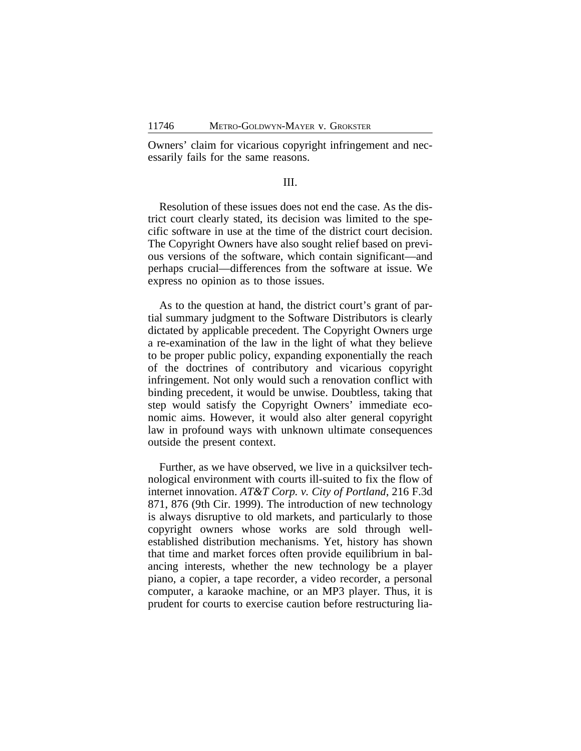Owners' claim for vicarious copyright infringement and necessarily fails for the same reasons.

# III.

Resolution of these issues does not end the case. As the district court clearly stated, its decision was limited to the specific software in use at the time of the district court decision. The Copyright Owners have also sought relief based on previous versions of the software, which contain significant—and perhaps crucial—differences from the software at issue. We express no opinion as to those issues.

As to the question at hand, the district court's grant of partial summary judgment to the Software Distributors is clearly dictated by applicable precedent. The Copyright Owners urge a re-examination of the law in the light of what they believe to be proper public policy, expanding exponentially the reach of the doctrines of contributory and vicarious copyright infringement. Not only would such a renovation conflict with binding precedent, it would be unwise. Doubtless, taking that step would satisfy the Copyright Owners' immediate economic aims. However, it would also alter general copyright law in profound ways with unknown ultimate consequences outside the present context.

Further, as we have observed, we live in a quicksilver technological environment with courts ill-suited to fix the flow of internet innovation. *AT&T Corp. v. City of Portland*, 216 F.3d 871, 876 (9th Cir. 1999). The introduction of new technology is always disruptive to old markets, and particularly to those copyright owners whose works are sold through wellestablished distribution mechanisms. Yet, history has shown that time and market forces often provide equilibrium in balancing interests, whether the new technology be a player piano, a copier, a tape recorder, a video recorder, a personal computer, a karaoke machine, or an MP3 player. Thus, it is prudent for courts to exercise caution before restructuring lia